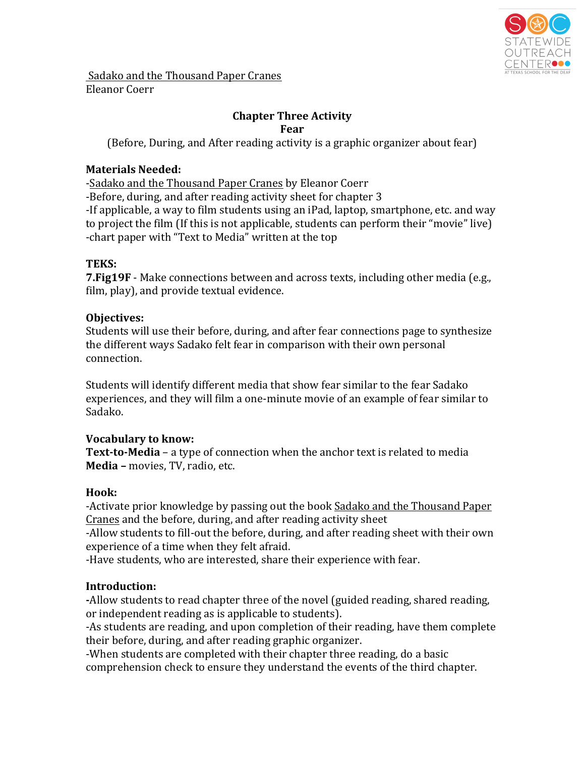

Sadako and the Thousand Paper Cranes Eleanor Coerr

# **Chapter Three Activity**

**Fear** 

(Before, During, and After reading activity is a graphic organizer about fear)

#### **Materials Needed:**

-Sadako and the Thousand Paper Cranes by Eleanor Coerr

-Before, during, and after reading activity sheet for chapter 3

-If applicable, a way to film students using an iPad, laptop, smartphone, etc. and way to project the film (If this is not applicable, students can perform their "movie" live) -chart paper with "Text to Media" written at the top

## **TEKS:**

**7. Fig19F** - Make connections between and across texts, including other media (e.g., film, play), and provide textual evidence.

## **Objectives:**

Students will use their before, during, and after fear connections page to synthesize the different ways Sadako felt fear in comparison with their own personal connection. 

Students will identify different media that show fear similar to the fear Sadako experiences, and they will film a one-minute movie of an example of fear similar to Sadako. 

## **Vocabulary to know:**

**Text-to-Media** – a type of connection when the anchor text is related to media **Media** – movies, TV, radio, etc.

## **Hook:**

-Activate prior knowledge by passing out the book Sadako and the Thousand Paper Cranes and the before, during, and after reading activity sheet

-Allow students to fill-out the before, during, and after reading sheet with their own experience of a time when they felt afraid.

-Have students, who are interested, share their experience with fear.

## **Introduction:**

-Allow students to read chapter three of the novel (guided reading, shared reading, or independent reading as is applicable to students).

-As students are reading, and upon completion of their reading, have them complete their before, during, and after reading graphic organizer.

-When students are completed with their chapter three reading, do a basic comprehension check to ensure they understand the events of the third chapter.